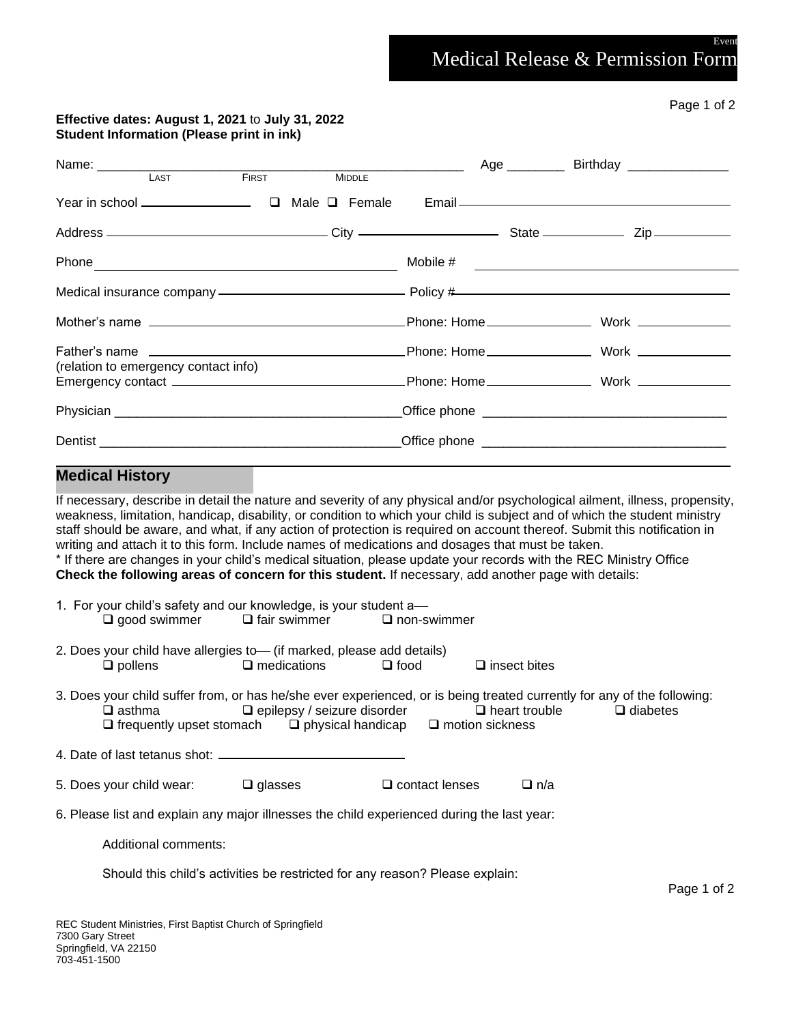Medical Release & Permission Form

## **Effective dates: August 1, 2021** to **July 31, 2022 Student Information (Please print in ink)**

|                                      |  |  | <b>FIRST</b> | <b>MIDDLE</b> |  |  |                                                                                                                                                                                                                                                                                                                                                                                   |  |
|--------------------------------------|--|--|--------------|---------------|--|--|-----------------------------------------------------------------------------------------------------------------------------------------------------------------------------------------------------------------------------------------------------------------------------------------------------------------------------------------------------------------------------------|--|
|                                      |  |  |              |               |  |  |                                                                                                                                                                                                                                                                                                                                                                                   |  |
|                                      |  |  |              |               |  |  |                                                                                                                                                                                                                                                                                                                                                                                   |  |
|                                      |  |  |              |               |  |  | Mobile $\#$                                                                                                                                                                                                                                                                                                                                                                       |  |
|                                      |  |  |              |               |  |  | Medical insurance company ——————————————————— Policy #————————————————————                                                                                                                                                                                                                                                                                                        |  |
|                                      |  |  |              |               |  |  |                                                                                                                                                                                                                                                                                                                                                                                   |  |
|                                      |  |  |              |               |  |  |                                                                                                                                                                                                                                                                                                                                                                                   |  |
| (relation to emergency contact info) |  |  |              |               |  |  |                                                                                                                                                                                                                                                                                                                                                                                   |  |
|                                      |  |  |              |               |  |  |                                                                                                                                                                                                                                                                                                                                                                                   |  |
|                                      |  |  |              |               |  |  |                                                                                                                                                                                                                                                                                                                                                                                   |  |
| <b>Medical History</b>               |  |  |              |               |  |  |                                                                                                                                                                                                                                                                                                                                                                                   |  |
|                                      |  |  |              |               |  |  | If necessary, describe in detail the nature and severity of any physical and/or psychological ailment, illness, propensity,<br>weakness, limitation, handicap, disability, or condition to which your child is subject and of which the student ministry<br>etatt abould be quere, and what if any option of protogion is required an account thereof. Submit this potitionian in |  |

staff should be aware, and what, if any action of protection is required on account thereof. Submit this notification in writing and attach it to this form. Include names of medications and dosages that must be taken. \* If there are changes in your child's medical situation, please update your records with the REC Ministry Office **Check the following areas of concern for this student.** If necessary, add another page with details:

| 1. For your child's safety and our knowledge, is your student a— |                |                       |  |  |  |  |  |  |  |
|------------------------------------------------------------------|----------------|-----------------------|--|--|--|--|--|--|--|
| $\square$ good swimmer                                           | □ fair swimmer | $\square$ non-swimmer |  |  |  |  |  |  |  |
|                                                                  |                |                       |  |  |  |  |  |  |  |

- 2. Does your child have allergies to— (if marked, please add details) ❑ pollens ❑ medications ❑ food ❑ insect bites
- 3. Does your child suffer from, or has he/she ever experienced, or is being treated currently for any of the following: ❑ asthma ❑ epilepsy / seizure disorder ❑ heart trouble ❑ diabetes ❑ frequently upset stomach ❑ physical handicap ❑ motion sickness

4. Date of last tetanus shot:

| 5. Does your child wear:<br>$\Box$ glasses | $\Box$ contact lenses | $\Box$ n/a |
|--------------------------------------------|-----------------------|------------|
|--------------------------------------------|-----------------------|------------|

6. Please list and explain any major illnesses the child experienced during the last year:

Additional comments:

Should this child's activities be restricted for any reason? Please explain:

Page 1 of 2

Event